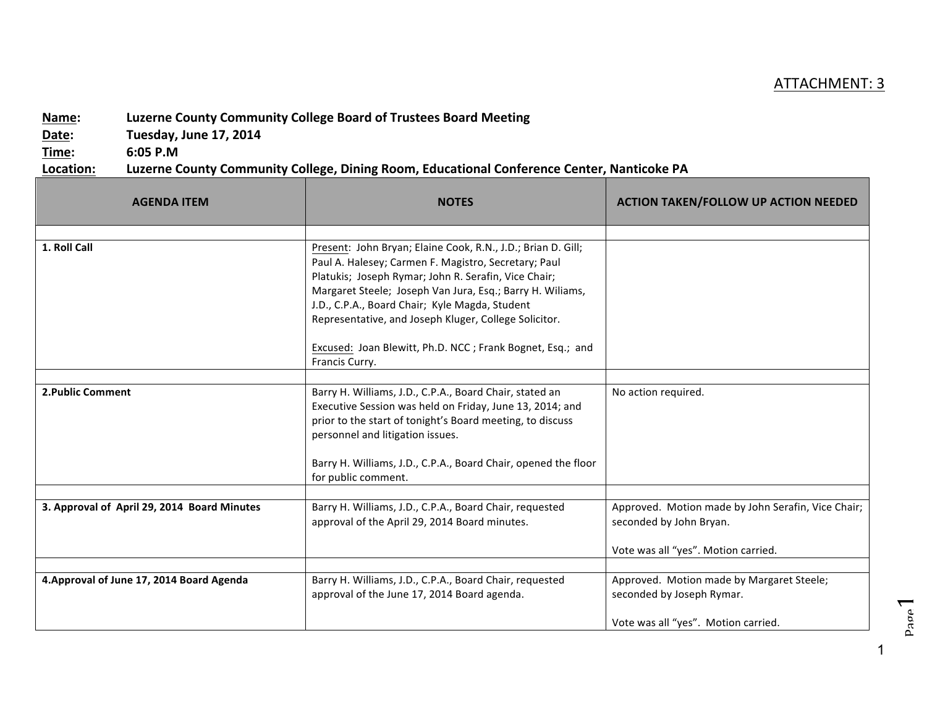## ATTACHMENT: 3

## **Name:** Luzerne County Community College Board of Trustees Board Meeting

**Date: Tuesday, June 17, 2014** 

**Time: 6:05 P.M**

## Location: Luzerne County Community College, Dining Room, Educational Conference Center, Nanticoke PA

| <b>AGENDA ITEM</b>                          | <b>NOTES</b>                                                                                                                                                                                                                                                                                                                                                                                                                        | <b>ACTION TAKEN/FOLLOW UP ACTION NEEDED</b>                                                                   |
|---------------------------------------------|-------------------------------------------------------------------------------------------------------------------------------------------------------------------------------------------------------------------------------------------------------------------------------------------------------------------------------------------------------------------------------------------------------------------------------------|---------------------------------------------------------------------------------------------------------------|
|                                             |                                                                                                                                                                                                                                                                                                                                                                                                                                     |                                                                                                               |
| 1. Roll Call                                | Present: John Bryan; Elaine Cook, R.N., J.D.; Brian D. Gill;<br>Paul A. Halesey; Carmen F. Magistro, Secretary; Paul<br>Platukis; Joseph Rymar; John R. Serafin, Vice Chair;<br>Margaret Steele; Joseph Van Jura, Esq.; Barry H. Wiliams,<br>J.D., C.P.A., Board Chair; Kyle Magda, Student<br>Representative, and Joseph Kluger, College Solicitor.<br>Excused: Joan Blewitt, Ph.D. NCC; Frank Bognet, Esq.; and<br>Francis Curry. |                                                                                                               |
|                                             |                                                                                                                                                                                                                                                                                                                                                                                                                                     |                                                                                                               |
| <b>2. Public Comment</b>                    | Barry H. Williams, J.D., C.P.A., Board Chair, stated an<br>Executive Session was held on Friday, June 13, 2014; and<br>prior to the start of tonight's Board meeting, to discuss<br>personnel and litigation issues.<br>Barry H. Williams, J.D., C.P.A., Board Chair, opened the floor<br>for public comment.                                                                                                                       | No action required.                                                                                           |
|                                             |                                                                                                                                                                                                                                                                                                                                                                                                                                     |                                                                                                               |
| 3. Approval of April 29, 2014 Board Minutes | Barry H. Williams, J.D., C.P.A., Board Chair, requested<br>approval of the April 29, 2014 Board minutes.                                                                                                                                                                                                                                                                                                                            | Approved. Motion made by John Serafin, Vice Chair;<br>seconded by John Bryan.                                 |
|                                             |                                                                                                                                                                                                                                                                                                                                                                                                                                     | Vote was all "yes". Motion carried.                                                                           |
| 4. Approval of June 17, 2014 Board Agenda   | Barry H. Williams, J.D., C.P.A., Board Chair, requested<br>approval of the June 17, 2014 Board agenda.                                                                                                                                                                                                                                                                                                                              | Approved. Motion made by Margaret Steele;<br>seconded by Joseph Rymar.<br>Vote was all "yes". Motion carried. |

1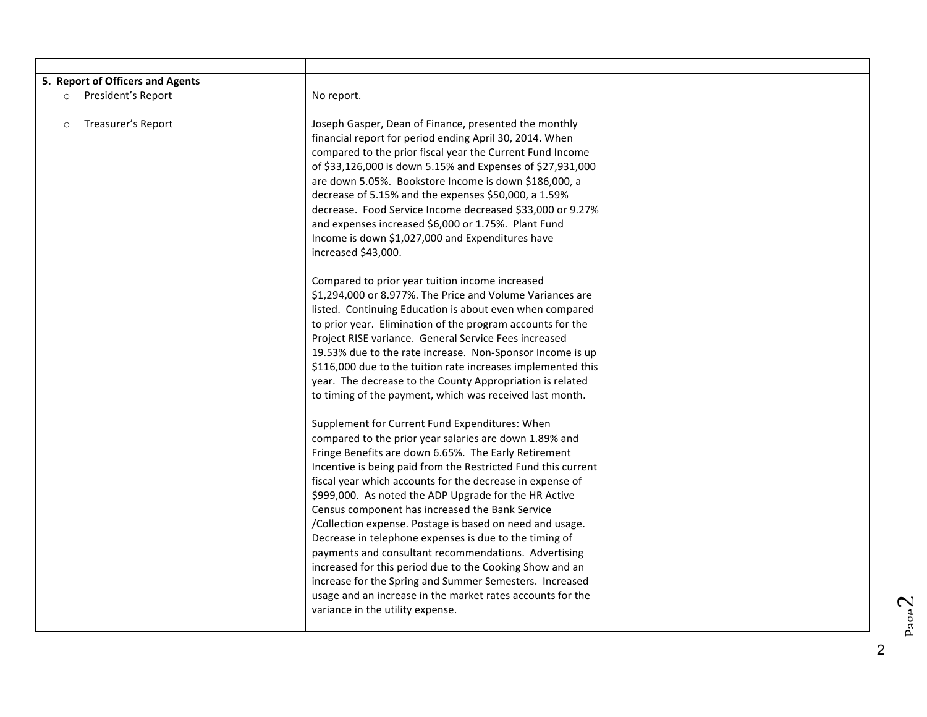| 5. Report of Officers and Agents<br>President's Report<br>$\circ$ | No report.                                                                                                                                                                                                                                                                                                                                                                                                                                                                                                                                                                                                                                                                                                                                                                                                                                                                                                                                                                                                                                                                                                           |  |
|-------------------------------------------------------------------|----------------------------------------------------------------------------------------------------------------------------------------------------------------------------------------------------------------------------------------------------------------------------------------------------------------------------------------------------------------------------------------------------------------------------------------------------------------------------------------------------------------------------------------------------------------------------------------------------------------------------------------------------------------------------------------------------------------------------------------------------------------------------------------------------------------------------------------------------------------------------------------------------------------------------------------------------------------------------------------------------------------------------------------------------------------------------------------------------------------------|--|
| Treasurer's Report<br>$\circ$                                     | Joseph Gasper, Dean of Finance, presented the monthly<br>financial report for period ending April 30, 2014. When<br>compared to the prior fiscal year the Current Fund Income<br>of \$33,126,000 is down 5.15% and Expenses of \$27,931,000<br>are down 5.05%. Bookstore Income is down \$186,000, a<br>decrease of 5.15% and the expenses \$50,000, a 1.59%<br>decrease. Food Service Income decreased \$33,000 or 9.27%<br>and expenses increased \$6,000 or 1.75%. Plant Fund<br>Income is down \$1,027,000 and Expenditures have<br>increased \$43,000.<br>Compared to prior year tuition income increased<br>\$1,294,000 or 8.977%. The Price and Volume Variances are<br>listed. Continuing Education is about even when compared<br>to prior year. Elimination of the program accounts for the<br>Project RISE variance. General Service Fees increased<br>19.53% due to the rate increase. Non-Sponsor Income is up<br>\$116,000 due to the tuition rate increases implemented this<br>year. The decrease to the County Appropriation is related<br>to timing of the payment, which was received last month. |  |
|                                                                   | Supplement for Current Fund Expenditures: When<br>compared to the prior year salaries are down 1.89% and<br>Fringe Benefits are down 6.65%. The Early Retirement<br>Incentive is being paid from the Restricted Fund this current<br>fiscal year which accounts for the decrease in expense of<br>\$999,000. As noted the ADP Upgrade for the HR Active<br>Census component has increased the Bank Service<br>/Collection expense. Postage is based on need and usage.<br>Decrease in telephone expenses is due to the timing of<br>payments and consultant recommendations. Advertising<br>increased for this period due to the Cooking Show and an<br>increase for the Spring and Summer Semesters. Increased<br>usage and an increase in the market rates accounts for the<br>variance in the utility expense.                                                                                                                                                                                                                                                                                                    |  |

 $p_{\text{app}}$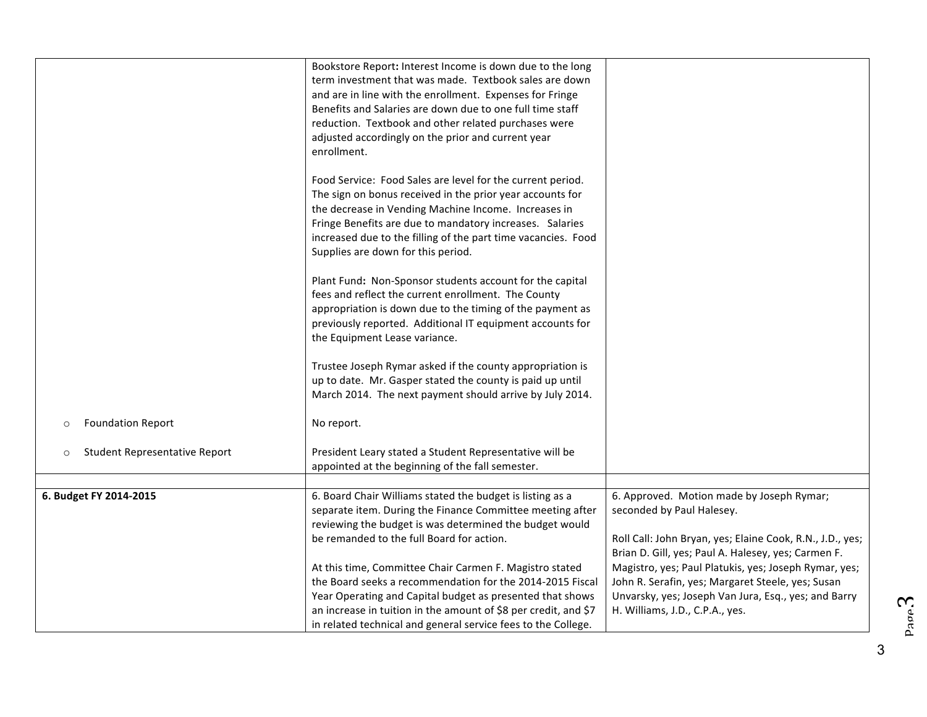|                                                 | Bookstore Report: Interest Income is down due to the long       |                                                           |
|-------------------------------------------------|-----------------------------------------------------------------|-----------------------------------------------------------|
|                                                 | term investment that was made. Textbook sales are down          |                                                           |
|                                                 | and are in line with the enrollment. Expenses for Fringe        |                                                           |
|                                                 | Benefits and Salaries are down due to one full time staff       |                                                           |
|                                                 | reduction. Textbook and other related purchases were            |                                                           |
|                                                 | adjusted accordingly on the prior and current year              |                                                           |
|                                                 | enrollment.                                                     |                                                           |
|                                                 |                                                                 |                                                           |
|                                                 | Food Service: Food Sales are level for the current period.      |                                                           |
|                                                 | The sign on bonus received in the prior year accounts for       |                                                           |
|                                                 | the decrease in Vending Machine Income. Increases in            |                                                           |
|                                                 | Fringe Benefits are due to mandatory increases. Salaries        |                                                           |
|                                                 | increased due to the filling of the part time vacancies. Food   |                                                           |
|                                                 | Supplies are down for this period.                              |                                                           |
|                                                 |                                                                 |                                                           |
|                                                 | Plant Fund: Non-Sponsor students account for the capital        |                                                           |
|                                                 | fees and reflect the current enrollment. The County             |                                                           |
|                                                 | appropriation is down due to the timing of the payment as       |                                                           |
|                                                 | previously reported. Additional IT equipment accounts for       |                                                           |
|                                                 | the Equipment Lease variance.                                   |                                                           |
|                                                 |                                                                 |                                                           |
|                                                 | Trustee Joseph Rymar asked if the county appropriation is       |                                                           |
|                                                 | up to date. Mr. Gasper stated the county is paid up until       |                                                           |
|                                                 | March 2014. The next payment should arrive by July 2014.        |                                                           |
|                                                 |                                                                 |                                                           |
| <b>Foundation Report</b><br>$\circ$             | No report.                                                      |                                                           |
|                                                 |                                                                 |                                                           |
| <b>Student Representative Report</b><br>$\circ$ | President Leary stated a Student Representative will be         |                                                           |
|                                                 | appointed at the beginning of the fall semester.                |                                                           |
| 6. Budget FY 2014-2015                          | 6. Board Chair Williams stated the budget is listing as a       | 6. Approved. Motion made by Joseph Rymar;                 |
|                                                 | separate item. During the Finance Committee meeting after       | seconded by Paul Halesey.                                 |
|                                                 | reviewing the budget is was determined the budget would         |                                                           |
|                                                 | be remanded to the full Board for action.                       | Roll Call: John Bryan, yes; Elaine Cook, R.N., J.D., yes; |
|                                                 |                                                                 | Brian D. Gill, yes; Paul A. Halesey, yes; Carmen F.       |
|                                                 | At this time, Committee Chair Carmen F. Magistro stated         | Magistro, yes; Paul Platukis, yes; Joseph Rymar, yes;     |
|                                                 | the Board seeks a recommendation for the 2014-2015 Fiscal       | John R. Serafin, yes; Margaret Steele, yes; Susan         |
|                                                 | Year Operating and Capital budget as presented that shows       | Unvarsky, yes; Joseph Van Jura, Esq., yes; and Barry      |
|                                                 | an increase in tuition in the amount of \$8 per credit, and \$7 | H. Williams, J.D., C.P.A., yes.                           |
|                                                 | in related technical and general service fees to the College.   |                                                           |

3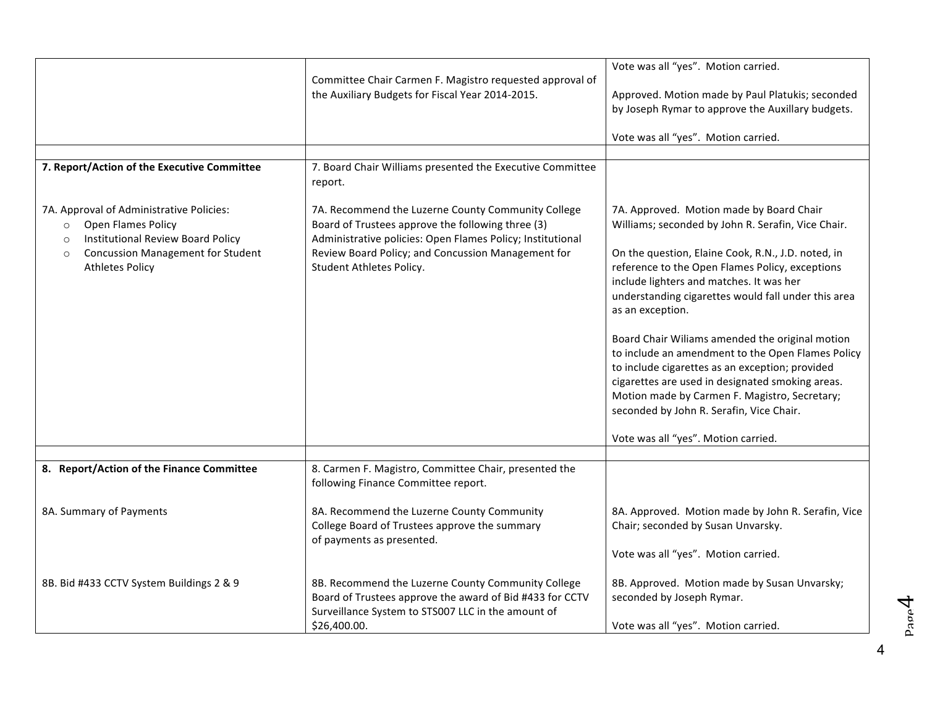|                                                                                                                                  | Committee Chair Carmen F. Magistro requested approval of                                                                                                                             | Vote was all "yes". Motion carried.                                                                                                                                                                                                                                                                      |
|----------------------------------------------------------------------------------------------------------------------------------|--------------------------------------------------------------------------------------------------------------------------------------------------------------------------------------|----------------------------------------------------------------------------------------------------------------------------------------------------------------------------------------------------------------------------------------------------------------------------------------------------------|
|                                                                                                                                  | the Auxiliary Budgets for Fiscal Year 2014-2015.                                                                                                                                     | Approved. Motion made by Paul Platukis; seconded<br>by Joseph Rymar to approve the Auxillary budgets.                                                                                                                                                                                                    |
|                                                                                                                                  |                                                                                                                                                                                      | Vote was all "yes". Motion carried.                                                                                                                                                                                                                                                                      |
|                                                                                                                                  |                                                                                                                                                                                      |                                                                                                                                                                                                                                                                                                          |
| 7. Report/Action of the Executive Committee                                                                                      | 7. Board Chair Williams presented the Executive Committee<br>report.                                                                                                                 |                                                                                                                                                                                                                                                                                                          |
| 7A. Approval of Administrative Policies:<br>Open Flames Policy<br>$\circ$<br><b>Institutional Review Board Policy</b><br>$\circ$ | 7A. Recommend the Luzerne County Community College<br>Board of Trustees approve the following three (3)<br>Administrative policies: Open Flames Policy; Institutional                | 7A. Approved. Motion made by Board Chair<br>Williams; seconded by John R. Serafin, Vice Chair.                                                                                                                                                                                                           |
| <b>Concussion Management for Student</b><br>$\circ$<br><b>Athletes Policy</b>                                                    | Review Board Policy; and Concussion Management for<br>Student Athletes Policy.                                                                                                       | On the question, Elaine Cook, R.N., J.D. noted, in<br>reference to the Open Flames Policy, exceptions<br>include lighters and matches. It was her<br>understanding cigarettes would fall under this area<br>as an exception.                                                                             |
|                                                                                                                                  |                                                                                                                                                                                      | Board Chair Wiliams amended the original motion<br>to include an amendment to the Open Flames Policy<br>to include cigarettes as an exception; provided<br>cigarettes are used in designated smoking areas.<br>Motion made by Carmen F. Magistro, Secretary;<br>seconded by John R. Serafin, Vice Chair. |
|                                                                                                                                  |                                                                                                                                                                                      | Vote was all "yes". Motion carried.                                                                                                                                                                                                                                                                      |
|                                                                                                                                  |                                                                                                                                                                                      |                                                                                                                                                                                                                                                                                                          |
| 8. Report/Action of the Finance Committee                                                                                        | 8. Carmen F. Magistro, Committee Chair, presented the<br>following Finance Committee report.                                                                                         |                                                                                                                                                                                                                                                                                                          |
| 8A. Summary of Payments                                                                                                          | 8A. Recommend the Luzerne County Community<br>College Board of Trustees approve the summary<br>of payments as presented.                                                             | 8A. Approved. Motion made by John R. Serafin, Vice<br>Chair; seconded by Susan Unvarsky.                                                                                                                                                                                                                 |
|                                                                                                                                  |                                                                                                                                                                                      | Vote was all "yes". Motion carried.                                                                                                                                                                                                                                                                      |
| 8B. Bid #433 CCTV System Buildings 2 & 9                                                                                         | 8B. Recommend the Luzerne County Community College<br>Board of Trustees approve the award of Bid #433 for CCTV<br>Surveillance System to STS007 LLC in the amount of<br>\$26,400.00. | 8B. Approved. Motion made by Susan Unvarsky;<br>seconded by Joseph Rymar.<br>Vote was all "yes". Motion carried.                                                                                                                                                                                         |
|                                                                                                                                  |                                                                                                                                                                                      |                                                                                                                                                                                                                                                                                                          |

4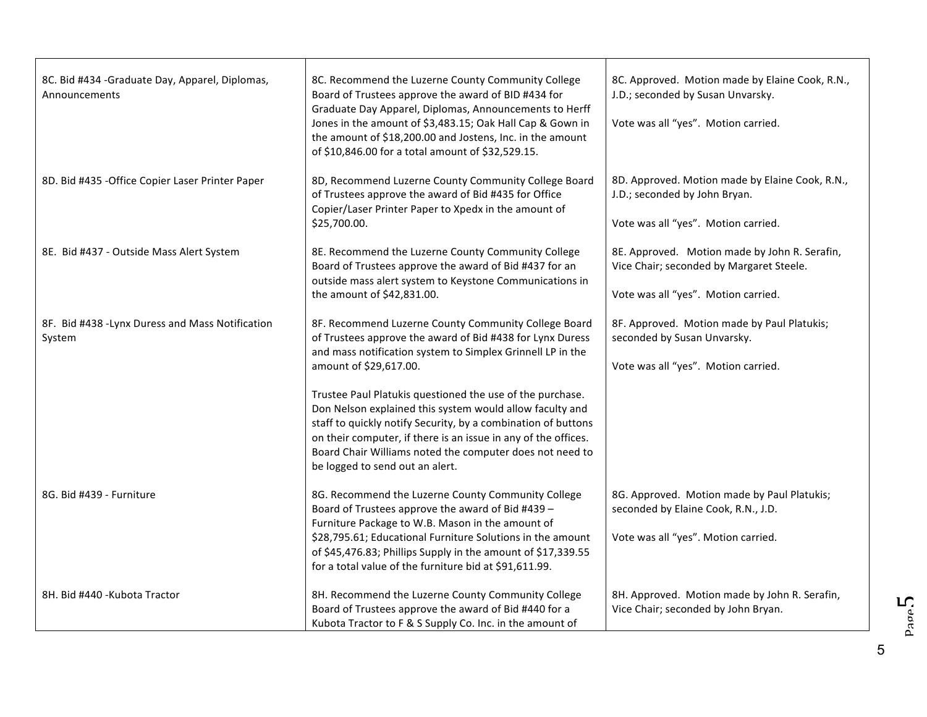| 8C. Bid #434 - Graduate Day, Apparel, Diplomas,<br>Announcements | 8C. Recommend the Luzerne County Community College<br>Board of Trustees approve the award of BID #434 for<br>Graduate Day Apparel, Diplomas, Announcements to Herff<br>Jones in the amount of \$3,483.15; Oak Hall Cap & Gown in<br>the amount of \$18,200.00 and Jostens, Inc. in the amount<br>of \$10,846.00 for a total amount of \$32,529.15.      | 8C. Approved. Motion made by Elaine Cook, R.N.,<br>J.D.; seconded by Susan Unvarsky.<br>Vote was all "yes". Motion carried.      |
|------------------------------------------------------------------|---------------------------------------------------------------------------------------------------------------------------------------------------------------------------------------------------------------------------------------------------------------------------------------------------------------------------------------------------------|----------------------------------------------------------------------------------------------------------------------------------|
| 8D. Bid #435 - Office Copier Laser Printer Paper                 | 8D, Recommend Luzerne County Community College Board<br>of Trustees approve the award of Bid #435 for Office<br>Copier/Laser Printer Paper to Xpedx in the amount of<br>\$25,700.00.                                                                                                                                                                    | 8D. Approved. Motion made by Elaine Cook, R.N.,<br>J.D.; seconded by John Bryan.<br>Vote was all "yes". Motion carried.          |
| 8E. Bid #437 - Outside Mass Alert System                         | 8E. Recommend the Luzerne County Community College<br>Board of Trustees approve the award of Bid #437 for an<br>outside mass alert system to Keystone Communications in<br>the amount of \$42,831.00.                                                                                                                                                   | 8E. Approved. Motion made by John R. Serafin,<br>Vice Chair; seconded by Margaret Steele.<br>Vote was all "yes". Motion carried. |
| 8F. Bid #438 -Lynx Duress and Mass Notification<br>System        | 8F. Recommend Luzerne County Community College Board<br>of Trustees approve the award of Bid #438 for Lynx Duress<br>and mass notification system to Simplex Grinnell LP in the<br>amount of \$29,617.00.                                                                                                                                               | 8F. Approved. Motion made by Paul Platukis;<br>seconded by Susan Unvarsky.<br>Vote was all "yes". Motion carried.                |
|                                                                  | Trustee Paul Platukis questioned the use of the purchase.<br>Don Nelson explained this system would allow faculty and<br>staff to quickly notify Security, by a combination of buttons<br>on their computer, if there is an issue in any of the offices.<br>Board Chair Williams noted the computer does not need to<br>be logged to send out an alert. |                                                                                                                                  |
| 8G. Bid #439 - Furniture                                         | 8G. Recommend the Luzerne County Community College<br>Board of Trustees approve the award of Bid #439 -<br>Furniture Package to W.B. Mason in the amount of<br>\$28,795.61; Educational Furniture Solutions in the amount<br>of \$45,476.83; Phillips Supply in the amount of \$17,339.55<br>for a total value of the furniture bid at \$91,611.99.     | 8G. Approved. Motion made by Paul Platukis;<br>seconded by Elaine Cook, R.N., J.D.<br>Vote was all "yes". Motion carried.        |
| 8H. Bid #440 -Kubota Tractor                                     | 8H. Recommend the Luzerne County Community College<br>Board of Trustees approve the award of Bid #440 for a<br>Kubota Tractor to F & S Supply Co. Inc. in the amount of                                                                                                                                                                                 | 8H. Approved. Motion made by John R. Serafin,<br>Vice Chair; seconded by John Bryan.                                             |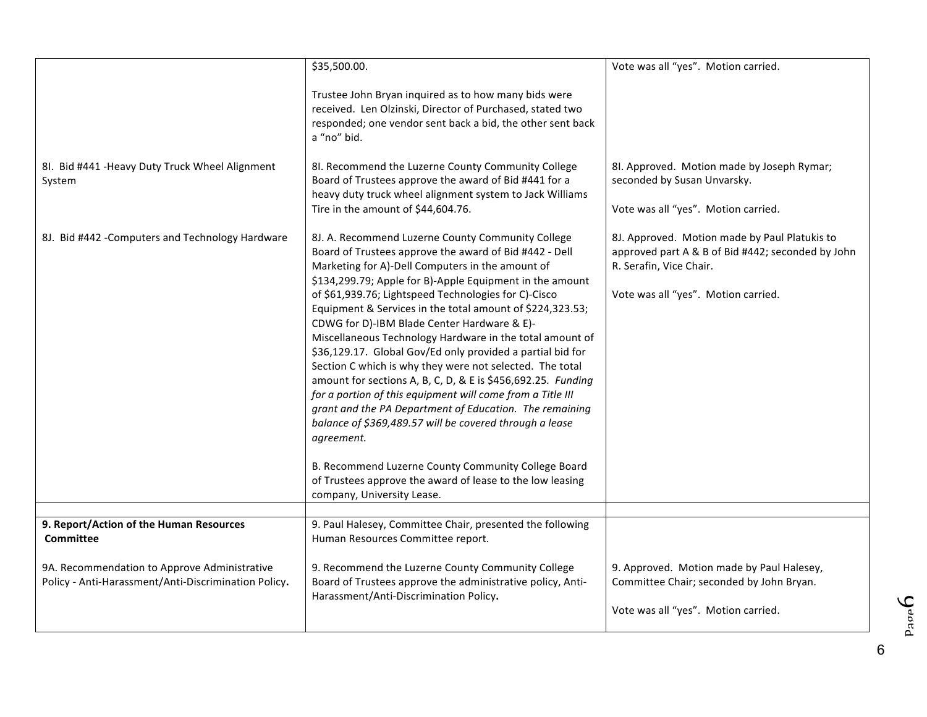| 8I. Bid #441 - Heavy Duty Truck Wheel Alignment                                                      | \$35,500.00.<br>Trustee John Bryan inquired as to how many bids were<br>received. Len Olzinski, Director of Purchased, stated two<br>responded; one vendor sent back a bid, the other sent back<br>a "no" bid.<br>8I. Recommend the Luzerne County Community College                                                                                                                                                                                                                                                                                                                                                                                                                                                                                                                                                                                                                                                                                                                                      | Vote was all "yes". Motion carried.<br>8I. Approved. Motion made by Joseph Rymar;                                                                                    |
|------------------------------------------------------------------------------------------------------|-----------------------------------------------------------------------------------------------------------------------------------------------------------------------------------------------------------------------------------------------------------------------------------------------------------------------------------------------------------------------------------------------------------------------------------------------------------------------------------------------------------------------------------------------------------------------------------------------------------------------------------------------------------------------------------------------------------------------------------------------------------------------------------------------------------------------------------------------------------------------------------------------------------------------------------------------------------------------------------------------------------|----------------------------------------------------------------------------------------------------------------------------------------------------------------------|
| System                                                                                               | Board of Trustees approve the award of Bid #441 for a<br>heavy duty truck wheel alignment system to Jack Williams<br>Tire in the amount of \$44,604.76.                                                                                                                                                                                                                                                                                                                                                                                                                                                                                                                                                                                                                                                                                                                                                                                                                                                   | seconded by Susan Unvarsky.<br>Vote was all "yes". Motion carried.                                                                                                   |
| 8J. Bid #442 - Computers and Technology Hardware                                                     | 8J. A. Recommend Luzerne County Community College<br>Board of Trustees approve the award of Bid #442 - Dell<br>Marketing for A)-Dell Computers in the amount of<br>\$134,299.79; Apple for B)-Apple Equipment in the amount<br>of \$61,939.76; Lightspeed Technologies for C)-Cisco<br>Equipment & Services in the total amount of \$224,323.53;<br>CDWG for D)-IBM Blade Center Hardware & E)-<br>Miscellaneous Technology Hardware in the total amount of<br>\$36,129.17. Global Gov/Ed only provided a partial bid for<br>Section C which is why they were not selected. The total<br>amount for sections A, B, C, D, & E is \$456,692.25. Funding<br>for a portion of this equipment will come from a Title III<br>grant and the PA Department of Education. The remaining<br>balance of \$369,489.57 will be covered through a lease<br>agreement.<br>B. Recommend Luzerne County Community College Board<br>of Trustees approve the award of lease to the low leasing<br>company, University Lease. | 8J. Approved. Motion made by Paul Platukis to<br>approved part A & B of Bid #442; seconded by John<br>R. Serafin, Vice Chair.<br>Vote was all "yes". Motion carried. |
|                                                                                                      |                                                                                                                                                                                                                                                                                                                                                                                                                                                                                                                                                                                                                                                                                                                                                                                                                                                                                                                                                                                                           |                                                                                                                                                                      |
| 9. Report/Action of the Human Resources<br><b>Committee</b>                                          | 9. Paul Halesey, Committee Chair, presented the following<br>Human Resources Committee report.                                                                                                                                                                                                                                                                                                                                                                                                                                                                                                                                                                                                                                                                                                                                                                                                                                                                                                            |                                                                                                                                                                      |
| 9A. Recommendation to Approve Administrative<br>Policy - Anti-Harassment/Anti-Discrimination Policy. | 9. Recommend the Luzerne County Community College<br>Board of Trustees approve the administrative policy, Anti-<br>Harassment/Anti-Discrimination Policy.                                                                                                                                                                                                                                                                                                                                                                                                                                                                                                                                                                                                                                                                                                                                                                                                                                                 | 9. Approved. Motion made by Paul Halesey,<br>Committee Chair; seconded by John Bryan.<br>Vote was all "yes". Motion carried.                                         |

<sup>6</sup>